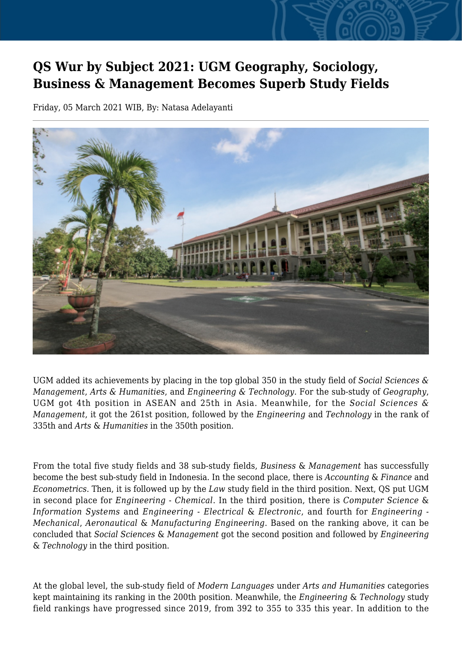## **QS Wur by Subject 2021: UGM Geography, Sociology, Business & Management Becomes Superb Study Fields**

Friday, 05 March 2021 WIB, By: Natasa Adelayanti



UGM added its achievements by placing in the top global 350 in the study field of *Social Sciences & Management*, *Arts & Humanities*, and *Engineering & Technology*. For the sub-study of *Geography*, UGM got 4th position in ASEAN and 25th in Asia. Meanwhile, for the *Social Sciences & Management*, it got the 261st position, followed by the *Engineering* and *Technology* in the rank of 335th and *Arts* & *Humanities* in the 350th position.

From the total five study fields and 38 sub-study fields, *Business* & *Management* has successfully become the best sub-study field in Indonesia. In the second place, there is *Accounting* & *Finance* and *Econometrics*. Then, it is followed up by the *Law* study field in the third position. Next, QS put UGM in second place for *Engineering* - *Chemical*. In the third position, there is *Computer Science* & *Information Systems* and *Engineering* - *Electrical* & *Electronic*, and fourth for *Engineering - Mechanical*, *Aeronautical* & *Manufacturing Engineering*. Based on the ranking above, it can be concluded that *Social Sciences* & *Management* got the second position and followed by *Engineering* & *Technology* in the third position.

At the global level, the sub-study field of *Modern Languages* under *Arts and Humanities* categories kept maintaining its ranking in the 200th position. Meanwhile, the *Engineering* & *Technology* study field rankings have progressed since 2019, from 392 to 355 to 335 this year. In addition to the